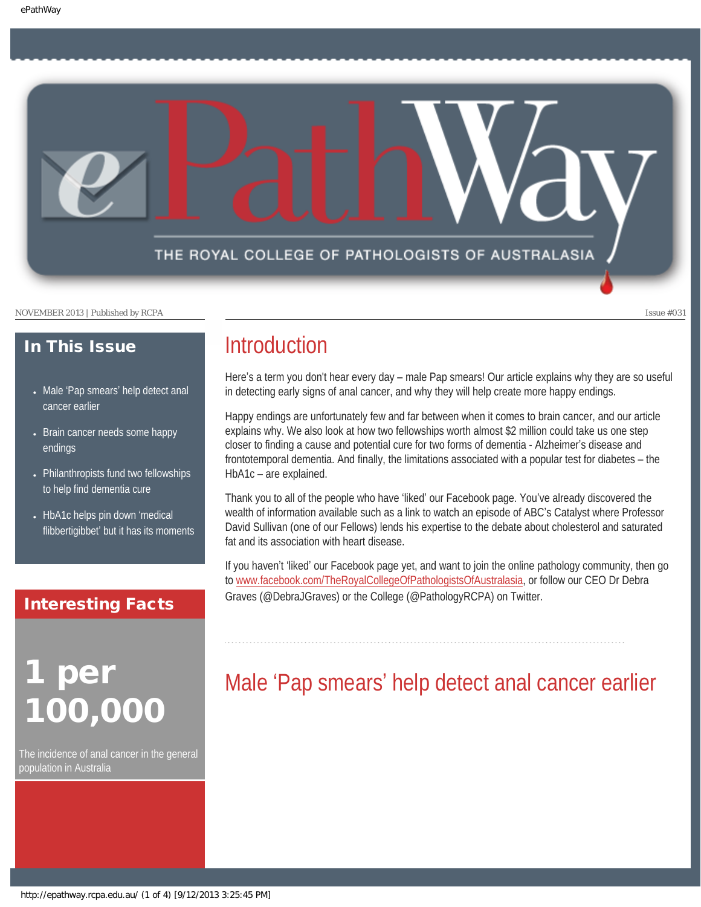

### In This Issue

- Male 'Pap smears' help detect anal [cancer earlier](#page-0-0)
- Brain cancer needs some happy [endings](#page-1-0)
- Philanthropists fund two fellowships [to help find dementia cure](#page-2-0)
- [HbA1c helps pin down](#page-2-1) 'medical flibbertigibbet' [but it has its moments](#page-2-1)

#### Interesting Facts

## <span id="page-0-0"></span>per 100,000

The incidence of anal cancer in the general population in Australia

### **Introduction**

Here's a term you don't hear every day – male Pap smears! Our article explains why they are so useful in detecting early signs of anal cancer, and why they will help create more happy endings.

Happy endings are unfortunately few and far between when it comes to brain cancer, and our article explains why. We also look at how two fellowships worth almost \$2 million could take us one step closer to finding a cause and potential cure for two forms of dementia - Alzheimer's disease and frontotemporal dementia. And finally, the limitations associated with a popular test for diabetes – the HbA1c – are explained.

Thank you to all of the people who have 'liked' our Facebook page. You've already discovered the wealth of information available such as a link to watch an episode of ABC's Catalyst where Professor David Sullivan (one of our Fellows) lends his expertise to the debate about cholesterol and saturated fat and its association with heart disease.

If you haven't 'liked' our Facebook page yet, and want to join the online pathology community, then go to [www.facebook.com/TheRoyalCollegeOfPathologistsOfAustralasia,](http://www.facebook.com/TheRoyalCollegeOfPathologistsOfAustralasia) or follow our CEO Dr Debra Graves (@DebraJGraves) or the College (@PathologyRCPA) on Twitter.

## Male 'Pap smears' help detect anal cancer earlier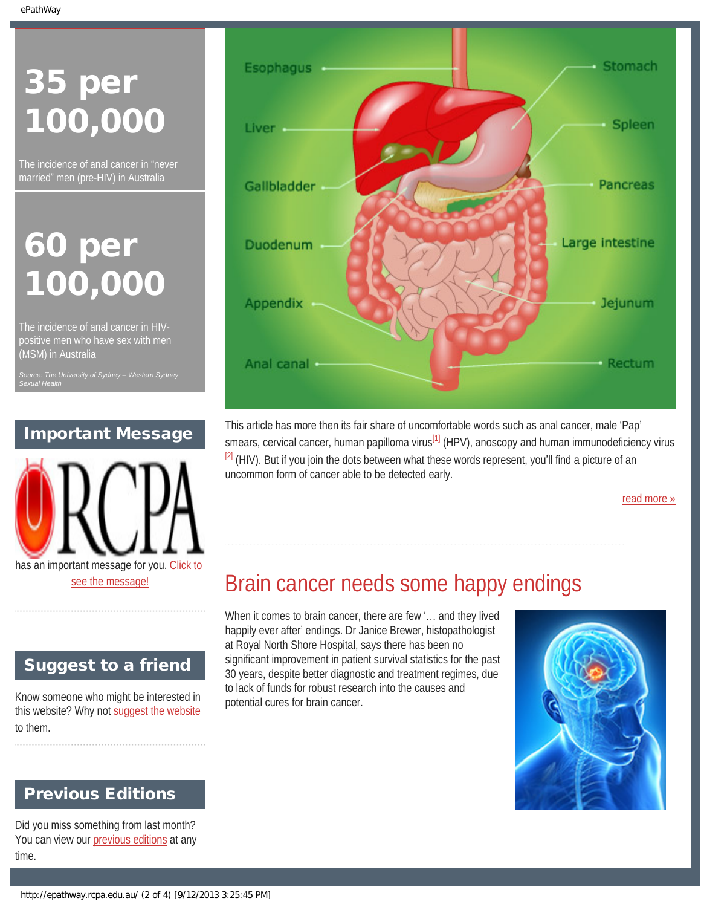# 35 per 100,000

The incidence of anal cancer in "never married" men (pre-HIV) in Australia

## 60 per 100,000

The incidence of anal cancer in HIVpositive men who have sex with men (MSM) in Australia

*Sexual Health*

### Important Message



### <span id="page-1-0"></span>Suggest to a friend

Know someone who might be interested in this website? Why not [suggest the website](mailto:?Subject=I%20think%20you%20should%20read%20this%20Newsletter=
http://epathway.rcpa.edu.au/index.html) to them.

### Previous Editions

Did you miss something from last month? You can view our [previous editions](#page-4-0) at any time.



This article has more then its fair share of uncomfortable words such as anal cancer, male 'Pap' smears, cervical cancer, human papilloma virus $^{11}$  (HPV), anoscopy and human immunodeficiency virus  $2$  (HIV). But if you join the dots between what these words represent, you'll find a picture of an uncommon form of cancer able to be detected early.

[read more »](#page-6-0)

### Brain cancer needs some happy endings

When it comes to brain cancer, there are few '… and they lived happily ever after' endings. Dr Janice Brewer, histopathologist at Royal North Shore Hospital, says there has been no significant improvement in patient survival statistics for the past 30 years, despite better diagnostic and treatment regimes, due to lack of funds for robust research into the causes and potential cures for brain cancer.

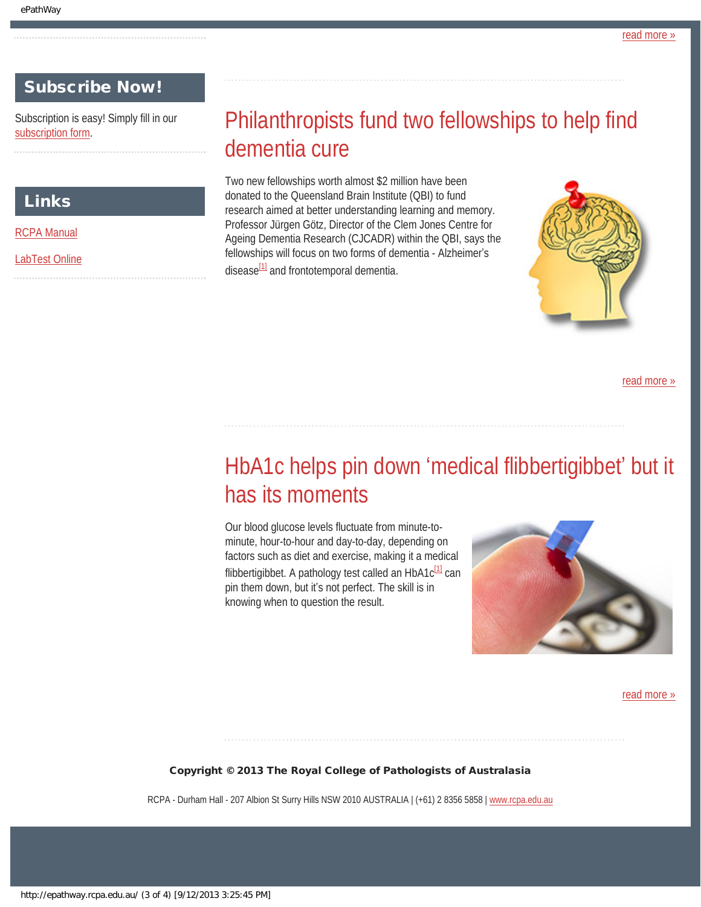#### Subscribe Now!

<span id="page-2-0"></span>Subscription is easy! Simply fill in our [subscription form.](http://epathway.rcpa.edu.au/subscription.html)

#### Links

[RCPA Manual](http://rcpamanual.edu.au/)

<span id="page-2-1"></span>[LabTest Online](http://www.labtestsonline.org.au/)

### Philanthropists fund two fellowships to help find dementia cure

Two new fellowships worth almost \$2 million have been donated to the Queensland Brain Institute (QBI) to fund research aimed at better understanding learning and memory. Professor Jürgen Götz, Director of the Clem Jones Centre for Ageing Dementia Research (CJCADR) within the QBI, says the fellowships will focus on two forms of dementia - Alzheimer's disease $\frac{1}{1}$  and frontotemporal dementia.



[read more »](#page-10-0)

### HbA1c helps pin down 'medical flibbertigibbet' but it has its moments

Our blood glucose levels fluctuate from minute-tominute, hour-to-hour and day-to-day, depending on factors such as diet and exercise, making it a medical flibbertigibbet. A pathology test called an  $HbA1c^{[1]}$  can pin them down, but it's not perfect. The skill is in knowing when to question the result.



[read more »](#page-12-0)

Copyright © 2013 The Royal College of Pathologists of Australasia

RCPA - Durham Hall - 207 Albion St Surry Hills NSW 2010 AUSTRALIA | (+61) 2 8356 5858 | [www.rcpa.edu.au](http://www.rcpa.edu.au/)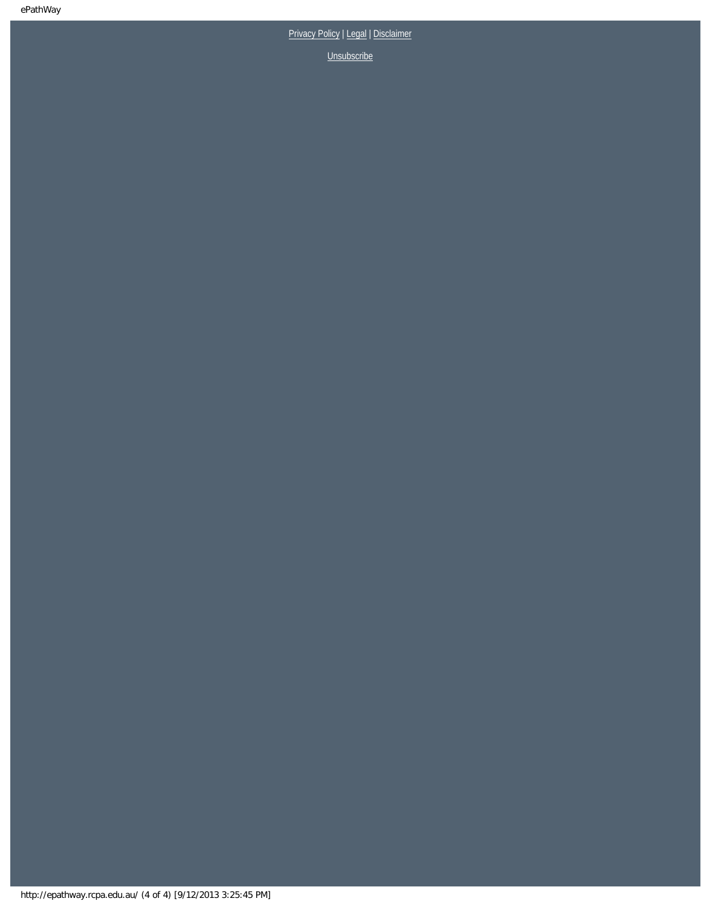[Privacy Policy](http://www.rcpa.edu.au/Privacy.htm) | [Legal](http://www.rcpa.edu.au/Legal.htm) | Disclaimer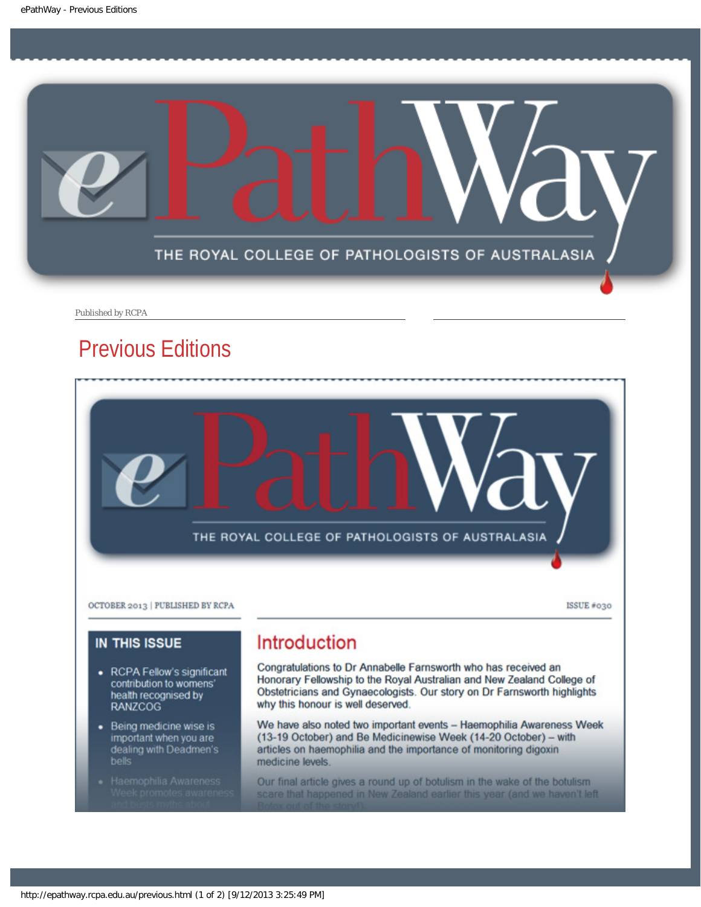<span id="page-4-0"></span>

Published by RCPA

### Previous Editions



We have also noted two important events - Haemophilia Awareness Week (13-19 October) and Be Medicinewise Week (14-20 October) - with articles on haemophilia and the importance of monitoring digoxin medicine levels.

Our final article gives a round up of botulism in the wake of the botulism scare that happened in New Zealand earlier this year (and we haven't left

· Being medicine wise is important when you are<br>dealing with Deadmen's

bells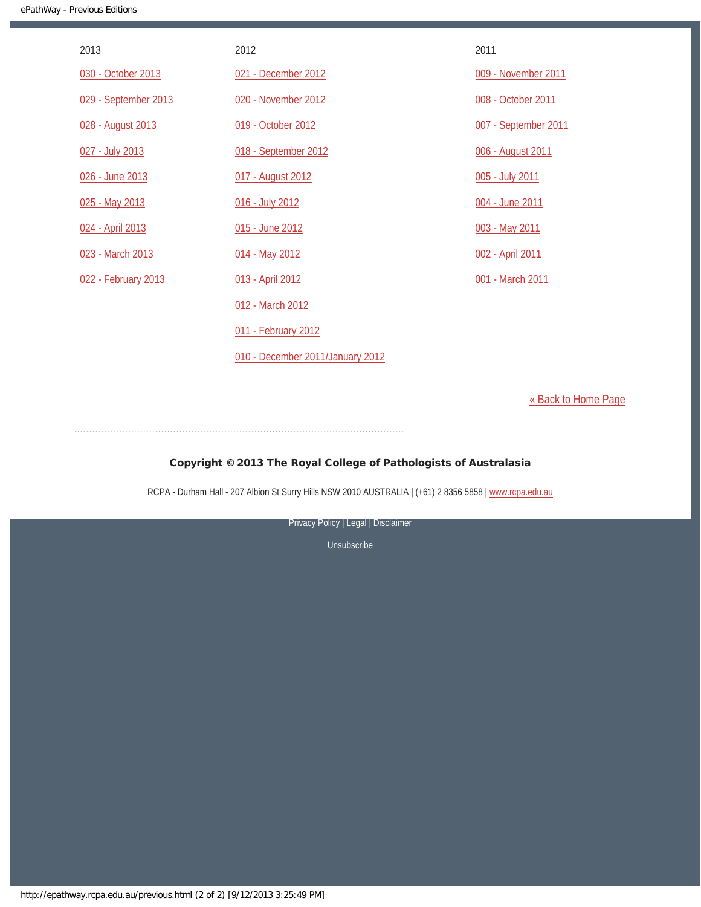| 2013                 | 2012                             | 2011                 |
|----------------------|----------------------------------|----------------------|
| 030 - October 2013   | 021 - December 2012              | 009 - November 2011  |
| 029 - September 2013 | 020 - November 2012              | 008 - October 2011   |
| 028 - August 2013    | 019 - October 2012               | 007 - September 2011 |
| 027 - July 2013      | 018 - September 2012             | 006 - August 2011    |
| 026 - June 2013      | 017 - August 2012                | 005 - July 2011      |
| 025 - May 2013       | 016 - July 2012                  | 004 - June 2011      |
| 024 - April 2013     | 015 - June 2012                  | 003 - May 2011       |
| 023 - March 2013     | 014 - May 2012                   | 002 - April 2011     |
| 022 - February 2013  | 013 - April 2012                 | 001 - March 2011     |
|                      | 012 - March 2012                 |                      |
|                      | 011 - February 2012              |                      |
|                      | 010 - December 2011/January 2012 |                      |

[« Back to Home Page](http://epathway.rcpa.edu.au/index.html)

#### Copyright © 2013 The Royal College of Pathologists of Australasia

RCPA - Durham Hall - 207 Albion St Surry Hills NSW 2010 AUSTRALIA | (+61) 2 8356 5858 | [www.rcpa.edu.au](http://www.rcpa.edu.au/)

[Privacy Policy](http://www.rcpa.edu.au/Privacy.htm) | [Legal](http://www.rcpa.edu.au/Legal.htm) | Disclaimer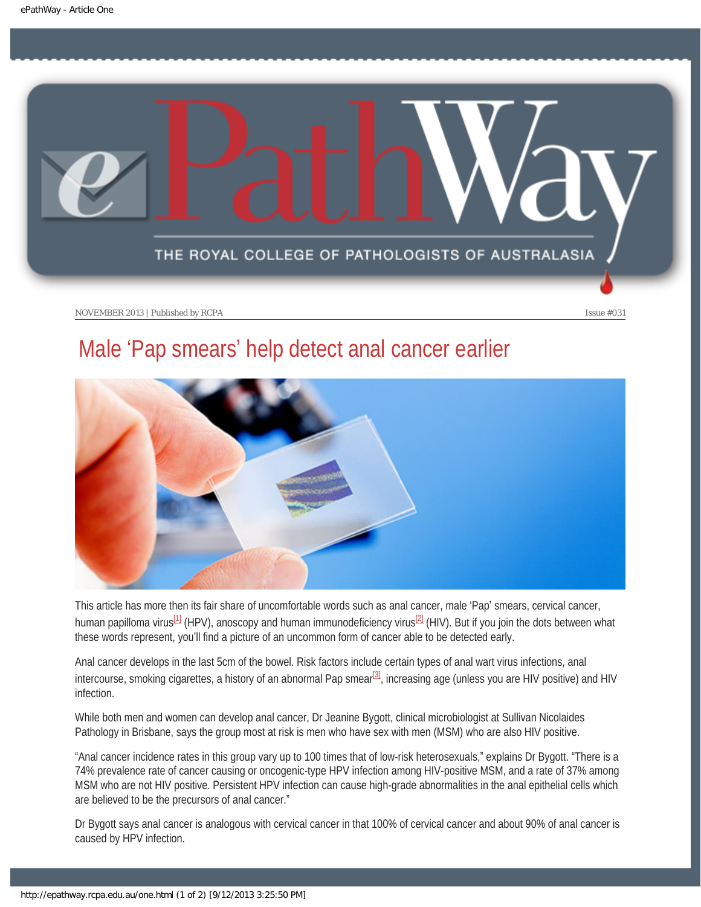<span id="page-6-0"></span>

### Male 'Pap smears' help detect anal cancer earlier



<span id="page-6-1"></span>This article has more then its fair share of uncomfortable words such as anal cancer, male 'Pap' smears, cervical cancer, human papilloma virus<sup>[\[1\]](#page-7-0)</sup> (HPV), anoscopy and human immunodeficiency virus<sup>[2]</sup> (HIV). But if you join the dots between what these words represent, you'll find a picture of an uncommon form of cancer able to be detected early.

<span id="page-6-2"></span>Anal cancer develops in the last 5cm of the bowel. Risk factors include certain types of anal wart virus infections, anal intercourse, smoking cigarettes, a history of an abnormal Pap smear $3$ , increasing age (unless you are HIV positive) and HIV infection.

While both men and women can develop anal cancer, Dr Jeanine Bygott, clinical microbiologist at Sullivan Nicolaides Pathology in Brisbane, says the group most at risk is men who have sex with men (MSM) who are also HIV positive.

"Anal cancer incidence rates in this group vary up to 100 times that of low-risk heterosexuals," explains Dr Bygott. "There is a 74% prevalence rate of cancer causing or oncogenic-type HPV infection among HIV-positive MSM, and a rate of 37% among MSM who are not HIV positive. Persistent HPV infection can cause high-grade abnormalities in the anal epithelial cells which are believed to be the precursors of anal cancer."

Dr Bygott says anal cancer is analogous with cervical cancer in that 100% of cervical cancer and about 90% of anal cancer is caused by HPV infection.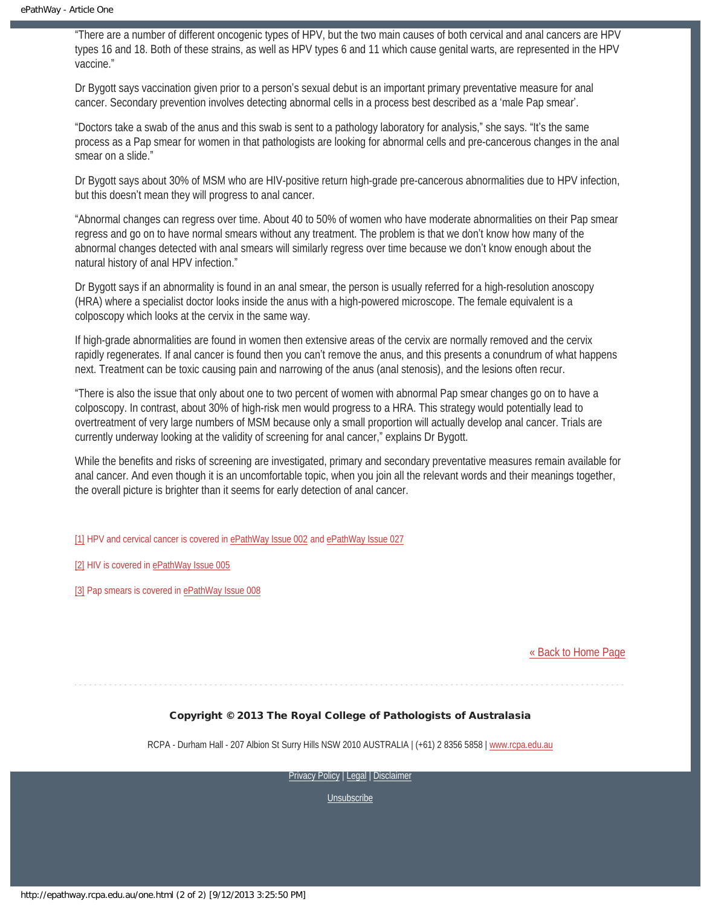"There are a number of different oncogenic types of HPV, but the two main causes of both cervical and anal cancers are HPV types 16 and 18. Both of these strains, as well as HPV types 6 and 11 which cause genital warts, are represented in the HPV vaccine."

Dr Bygott says vaccination given prior to a person's sexual debut is an important primary preventative measure for anal cancer. Secondary prevention involves detecting abnormal cells in a process best described as a 'male Pap smear'.

"Doctors take a swab of the anus and this swab is sent to a pathology laboratory for analysis," she says. "It's the same process as a Pap smear for women in that pathologists are looking for abnormal cells and pre-cancerous changes in the anal smear on a slide."

Dr Bygott says about 30% of MSM who are HIV-positive return high-grade pre-cancerous abnormalities due to HPV infection, but this doesn't mean they will progress to anal cancer.

"Abnormal changes can regress over time. About 40 to 50% of women who have moderate abnormalities on their Pap smear regress and go on to have normal smears without any treatment. The problem is that we don't know how many of the abnormal changes detected with anal smears will similarly regress over time because we don't know enough about the natural history of anal HPV infection."

Dr Bygott says if an abnormality is found in an anal smear, the person is usually referred for a high-resolution anoscopy (HRA) where a specialist doctor looks inside the anus with a high-powered microscope. The female equivalent is a colposcopy which looks at the cervix in the same way.

If high-grade abnormalities are found in women then extensive areas of the cervix are normally removed and the cervix rapidly regenerates. If anal cancer is found then you can't remove the anus, and this presents a conundrum of what happens next. Treatment can be toxic causing pain and narrowing of the anus (anal stenosis), and the lesions often recur.

"There is also the issue that only about one to two percent of women with abnormal Pap smear changes go on to have a colposcopy. In contrast, about 30% of high-risk men would progress to a HRA. This strategy would potentially lead to overtreatment of very large numbers of MSM because only a small proportion will actually develop anal cancer. Trials are currently underway looking at the validity of screening for anal cancer," explains Dr Bygott.

While the benefits and risks of screening are investigated, primary and secondary preventative measures remain available for anal cancer. And even though it is an uncomfortable topic, when you join all the relevant words and their meanings together, the overall picture is brighter than it seems for early detection of anal cancer.

<span id="page-7-0"></span>[\[1\]](#page-6-1) HPV and cervical cancer is covered in [ePathWay Issue 002](http://epathway.rcpa.edu.au/previous/002_0411.pdf) and [ePathWay Issue 027](http://epathway.rcpa.edu.au/previous/027_0713.pdf)

<span id="page-7-1"></span>[\[2\]](#page-6-1) HIV is covered in [ePathWay Issue 005](http://epathway.rcpa.edu.au/previous/005_0711.pdf)

<span id="page-7-2"></span>[\[3\]](#page-6-2) Pap smears is covered in [ePathWay Issue 008](http://epathway.rcpa.edu.au/previous/008_1011.pdf)

#### [« Back to Home Page](http://epathway.rcpa.edu.au/index.html)

#### Copyright © 2013 The Royal College of Pathologists of Australasia

RCPA - Durham Hall - 207 Albion St Surry Hills NSW 2010 AUSTRALIA | (+61) 2 8356 5858 | [www.rcpa.edu.au](http://www.rcpa.edu.au/)

[Privacy Policy](http://www.rcpa.edu.au/Privacy.htm) | [Legal](http://www.rcpa.edu.au/Legal.htm) | [Disclaimer](http://www.rcpa.edu.au/Disclaimer.htm)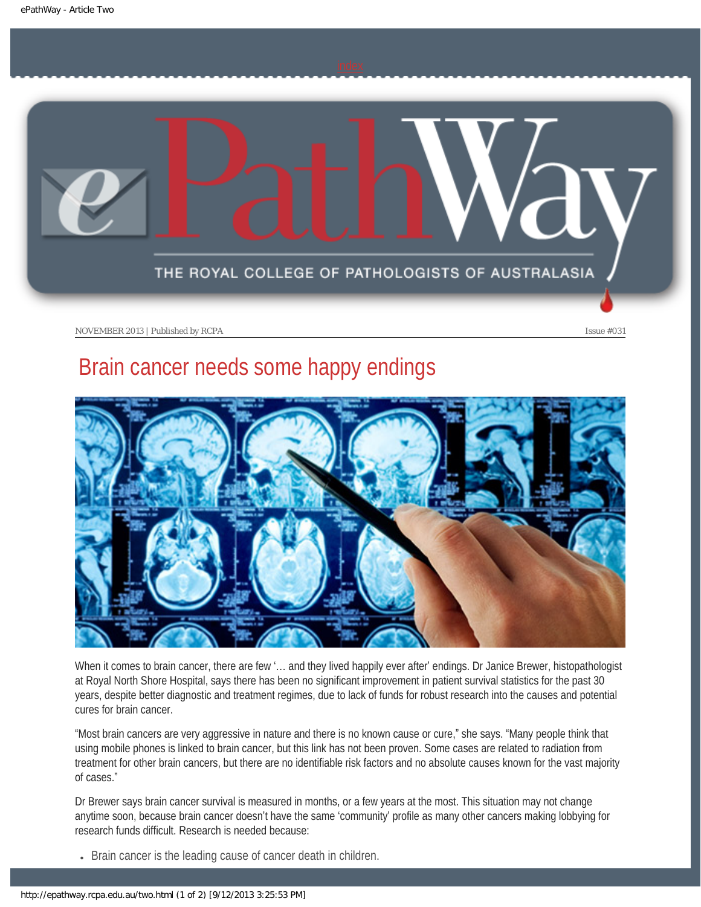<span id="page-8-0"></span>

### Brain cancer needs some happy endings



When it comes to brain cancer, there are few '… and they lived happily ever after' endings. Dr Janice Brewer, histopathologist at Royal North Shore Hospital, says there has been no significant improvement in patient survival statistics for the past 30 years, despite better diagnostic and treatment regimes, due to lack of funds for robust research into the causes and potential cures for brain cancer.

"Most brain cancers are very aggressive in nature and there is no known cause or cure," she says. "Many people think that using mobile phones is linked to brain cancer, but this link has not been proven. Some cases are related to radiation from treatment for other brain cancers, but there are no identifiable risk factors and no absolute causes known for the vast majority of cases."

Dr Brewer says brain cancer survival is measured in months, or a few years at the most. This situation may not change anytime soon, because brain cancer doesn't have the same 'community' profile as many other cancers making lobbying for research funds difficult. Research is needed because:

• Brain cancer is the leading cause of cancer death in children.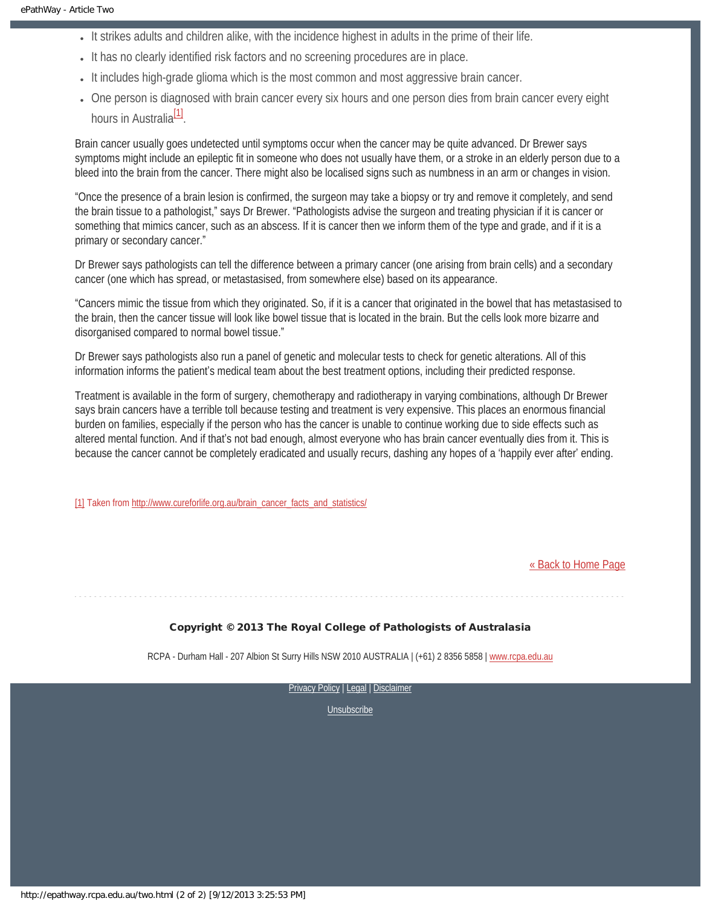- It strikes adults and children alike, with the incidence highest in adults in the prime of their life.
- It has no clearly identified risk factors and no screening procedures are in place.
- It includes high-grade glioma which is the most common and most aggressive brain cancer.
- One person is diagnosed with brain cancer every six hours and one person dies from brain cancer every eight hours in Australia<sup>[\[1\]](#page-9-0)</sup>.

<span id="page-9-1"></span>Brain cancer usually goes undetected until symptoms occur when the cancer may be quite advanced. Dr Brewer says symptoms might include an epileptic fit in someone who does not usually have them, or a stroke in an elderly person due to a bleed into the brain from the cancer. There might also be localised signs such as numbness in an arm or changes in vision.

"Once the presence of a brain lesion is confirmed, the surgeon may take a biopsy or try and remove it completely, and send the brain tissue to a pathologist," says Dr Brewer. "Pathologists advise the surgeon and treating physician if it is cancer or something that mimics cancer, such as an abscess. If it is cancer then we inform them of the type and grade, and if it is a primary or secondary cancer."

Dr Brewer says pathologists can tell the difference between a primary cancer (one arising from brain cells) and a secondary cancer (one which has spread, or metastasised, from somewhere else) based on its appearance.

"Cancers mimic the tissue from which they originated. So, if it is a cancer that originated in the bowel that has metastasised to the brain, then the cancer tissue will look like bowel tissue that is located in the brain. But the cells look more bizarre and disorganised compared to normal bowel tissue."

Dr Brewer says pathologists also run a panel of genetic and molecular tests to check for genetic alterations. All of this information informs the patient's medical team about the best treatment options, including their predicted response.

Treatment is available in the form of surgery, chemotherapy and radiotherapy in varying combinations, although Dr Brewer says brain cancers have a terrible toll because testing and treatment is very expensive. This places an enormous financial burden on families, especially if the person who has the cancer is unable to continue working due to side effects such as altered mental function. And if that's not bad enough, almost everyone who has brain cancer eventually dies from it. This is because the cancer cannot be completely eradicated and usually recurs, dashing any hopes of a 'happily ever after' ending.

<span id="page-9-0"></span>[\[1\]](#page-9-1) Taken from [http://www.cureforlife.org.au/brain\\_cancer\\_facts\\_and\\_statistics/](http://www.cureforlife.org.au/brain_cancer_facts_and_statistics/)

[« Back to Home Page](http://epathway.rcpa.edu.au/index.html)

#### Copyright © 2013 The Royal College of Pathologists of Australasia

RCPA - Durham Hall - 207 Albion St Surry Hills NSW 2010 AUSTRALIA | (+61) 2 8356 5858 | [www.rcpa.edu.au](http://www.rcpa.edu.au/)

[Privacy Policy](http://www.rcpa.edu.au/Privacy.htm) | [Legal](http://www.rcpa.edu.au/Legal.htm) | Disclaimer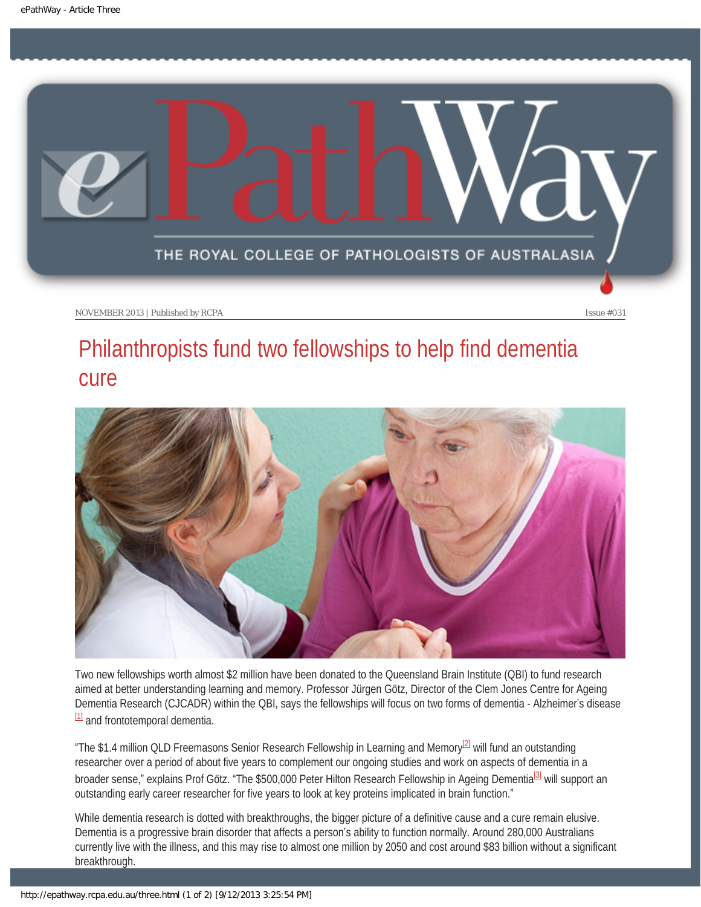<span id="page-10-0"></span>

### Philanthropists fund two fellowships to help find dementia cure



Two new fellowships worth almost \$2 million have been donated to the Queensland Brain Institute (QBI) to fund research aimed at better understanding learning and memory. Professor Jürgen Götz, Director of the Clem Jones Centre for Ageing Dementia Research (CJCADR) within the QBI, says the fellowships will focus on two forms of dementia - Alzheimer's disease [\[1\]](#page-11-0) and frontotemporal dementia.

<span id="page-10-2"></span><span id="page-10-1"></span>"The \$1.4 million QLD Freemasons Senior Research Fellowship in Learning and Memory<sup>[2]</sup> will fund an outstanding researcher over a period of about five years to complement our ongoing studies and work on aspects of dementia in a broader sense," explains Prof Götz. "The \$500,000 Peter Hilton Research Fellowship in Ageing Dementia<sup>[\[3\]](#page-11-2)</sup> will support an outstanding early career researcher for five years to look at key proteins implicated in brain function."

<span id="page-10-3"></span>While dementia research is dotted with breakthroughs, the bigger picture of a definitive cause and a cure remain elusive. Dementia is a progressive brain disorder that affects a person's ability to function normally. Around 280,000 Australians currently live with the illness, and this may rise to almost one million by 2050 and cost around \$83 billion without a significant breakthrough.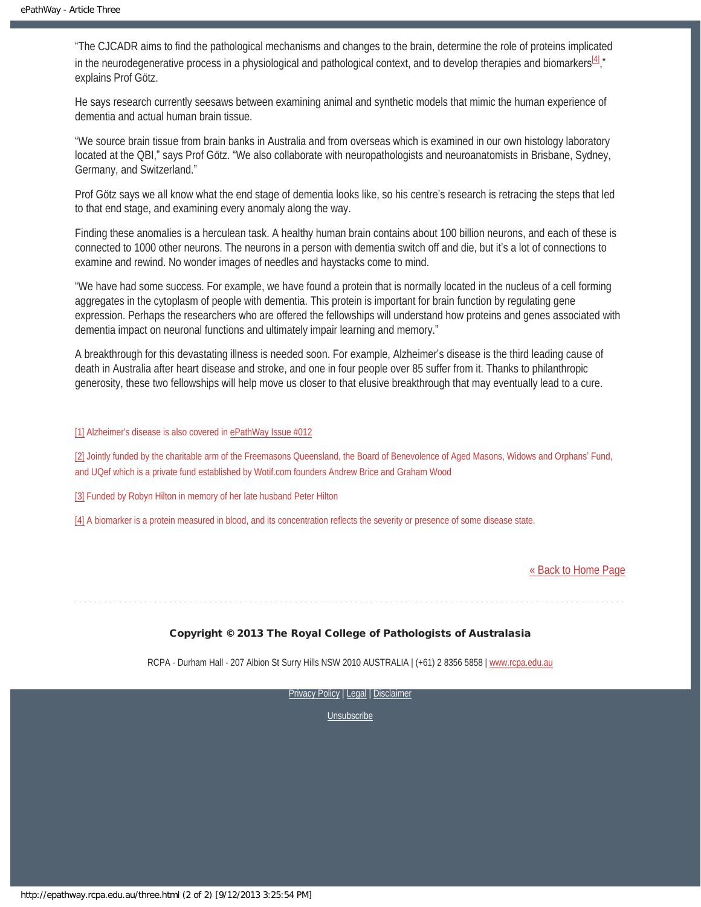<span id="page-11-4"></span>"The CJCADR aims to find the pathological mechanisms and changes to the brain, determine the role of proteins implicated in the neurodegenerative process in a physiological and pathological context, and to develop therapies and biomarkers $^{[4]}$ ," explains Prof Götz.

He says research currently seesaws between examining animal and synthetic models that mimic the human experience of dementia and actual human brain tissue.

"We source brain tissue from brain banks in Australia and from overseas which is examined in our own histology laboratory located at the QBI," says Prof Götz. "We also collaborate with neuropathologists and neuroanatomists in Brisbane, Sydney, Germany, and Switzerland."

Prof Götz says we all know what the end stage of dementia looks like, so his centre's research is retracing the steps that led to that end stage, and examining every anomaly along the way.

Finding these anomalies is a herculean task. A healthy human brain contains about 100 billion neurons, and each of these is connected to 1000 other neurons. The neurons in a person with dementia switch off and die, but it's a lot of connections to examine and rewind. No wonder images of needles and haystacks come to mind.

"We have had some success. For example, we have found a protein that is normally located in the nucleus of a cell forming aggregates in the cytoplasm of people with dementia. This protein is important for brain function by regulating gene expression. Perhaps the researchers who are offered the fellowships will understand how proteins and genes associated with dementia impact on neuronal functions and ultimately impair learning and memory."

A breakthrough for this devastating illness is needed soon. For example, Alzheimer's disease is the third leading cause of death in Australia after heart disease and stroke, and one in four people over 85 suffer from it. Thanks to philanthropic generosity, these two fellowships will help move us closer to that elusive breakthrough that may eventually lead to a cure.

<span id="page-11-0"></span>[\[1\]](#page-10-1) Alzheimer's disease is also covered in [ePathWay Issue #012](http://epathway.rcpa.edu.au/previous/012_0312.pdf)

<span id="page-11-1"></span>[\[2\]](#page-10-2) Jointly funded by the charitable arm of the Freemasons Queensland, the Board of Benevolence of Aged Masons, Widows and Orphans' Fund, and UQef which is a private fund established by Wotif.com founders Andrew Brice and Graham Wood

<span id="page-11-2"></span>[\[3\]](#page-10-3) Funded by Robyn Hilton in memory of her late husband Peter Hilton

<span id="page-11-3"></span>[\[4\]](#page-11-4) A biomarker is a protein measured in blood, and its concentration reflects the severity or presence of some disease state.

[« Back to Home Page](http://epathway.rcpa.edu.au/index.html)

#### Copyright © 2013 The Royal College of Pathologists of Australasia

RCPA - Durham Hall - 207 Albion St Surry Hills NSW 2010 AUSTRALIA | (+61) 2 8356 5858 | [www.rcpa.edu.au](http://www.rcpa.edu.au/)

[Privacy Policy](http://www.rcpa.edu.au/Privacy.htm) | [Legal](http://www.rcpa.edu.au/Legal.htm) | Disclaimer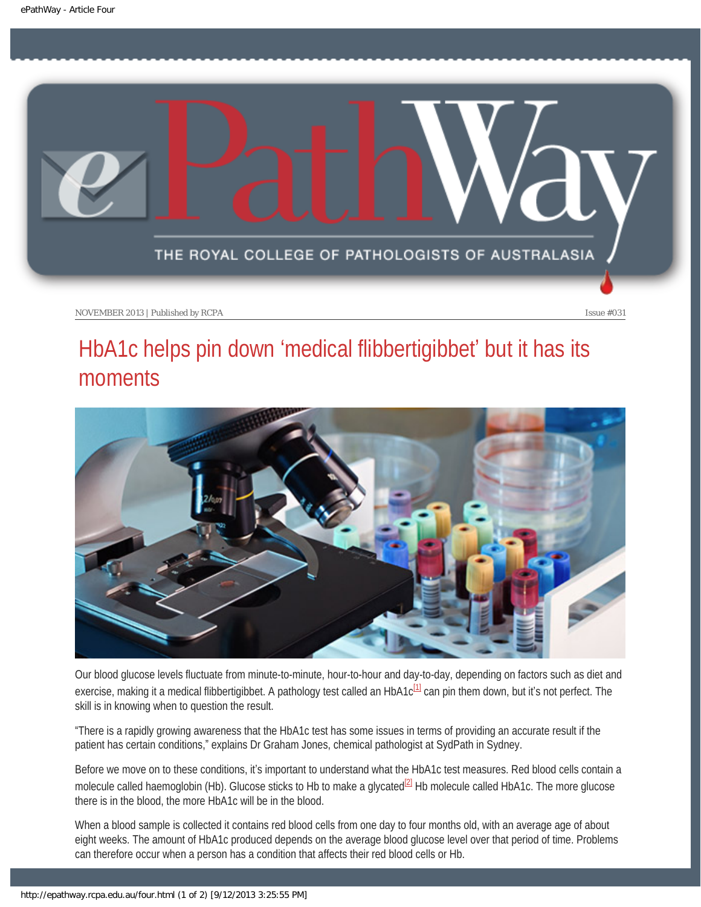<span id="page-12-0"></span>

### HbA1c helps pin down 'medical flibbertigibbet' but it has its moments



Our blood glucose levels fluctuate from minute-to-minute, hour-to-hour and day-to-day, depending on factors such as diet and exercise, making it a medical flibbertigibbet. A pathology test called an HbA1c $1/1$  can pin them down, but it's not perfect. The skill is in knowing when to question the result.

<span id="page-12-1"></span>"There is a rapidly growing awareness that the HbA1c test has some issues in terms of providing an accurate result if the patient has certain conditions," explains Dr Graham Jones, chemical pathologist at SydPath in Sydney.

<span id="page-12-2"></span>Before we move on to these conditions, it's important to understand what the HbA1c test measures. Red blood cells contain a molecule called haemoglobin (Hb). Glucose sticks to Hb to make a glycated<sup>[\[2\]](#page-13-1)</sup> Hb molecule called HbA1c. The more glucose there is in the blood, the more HbA1c will be in the blood.

When a blood sample is collected it contains red blood cells from one day to four months old, with an average age of about eight weeks. The amount of HbA1c produced depends on the average blood glucose level over that period of time. Problems can therefore occur when a person has a condition that affects their red blood cells or Hb.